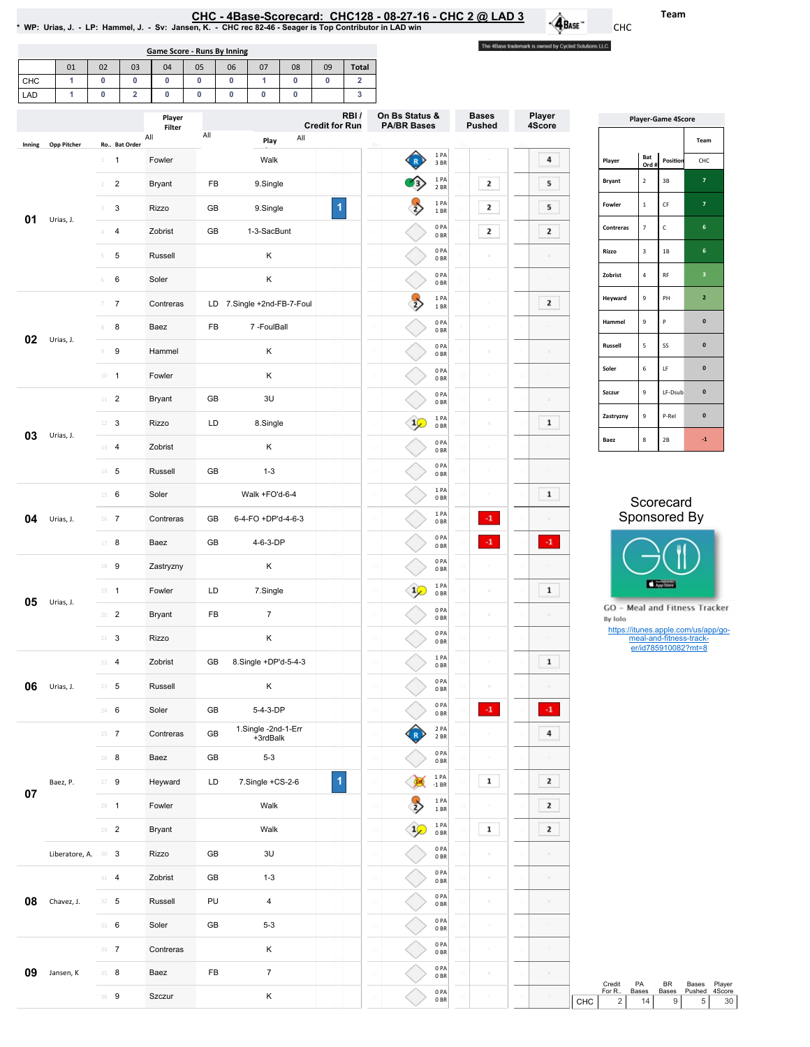| CHC - 4Base-Scorecard: CHC128 - 08-27-16 - CHC 2 $\omega$ LAD 3                                           |  |
|-----------------------------------------------------------------------------------------------------------|--|
| NP: Urias, J. - LP: Hammel, J. - Sv: Jansen, K. - CHC rec 82-46 - Seager is Top Contributor in LAD win ** |  |

Game Score - Runs By Inning

The 4Base trademark is owned by Cycled Solutions LLC.

 $\cdot \mathbf{Q}_{\text{Base}}$ 

|            | 01                  | 02                               | 03                            | 04                         | 05                         | 06                   | 07                              | 08                         | 09                    | <b>Total</b>                            |                          |                         |               |                |                  |                         |                           |                                                |                                                                      |
|------------|---------------------|----------------------------------|-------------------------------|----------------------------|----------------------------|----------------------|---------------------------------|----------------------------|-----------------------|-----------------------------------------|--------------------------|-------------------------|---------------|----------------|------------------|-------------------------|---------------------------|------------------------------------------------|----------------------------------------------------------------------|
| CHC<br>LAD | 1<br>1              | $\mathbf 0$<br>$\bf{0}$          | $\mathbf 0$<br>$\overline{2}$ | $\mathbf 0$<br>$\mathbf 0$ | $\mathbf 0$<br>$\mathbf 0$ | $\bf{0}$<br>$\bf{0}$ | 1<br>$\bf{0}$                   | 0<br>0                     | $\pmb{0}$             | $\overline{\mathbf{2}}$<br>$\mathbf{3}$ |                          |                         |               |                |                  |                         |                           |                                                |                                                                      |
|            |                     |                                  |                               | Player                     |                            |                      |                                 |                            |                       | RBI/                                    | On Bs Status &           |                         | <b>Bases</b>  | Player         |                  |                         |                           | <b>Player-Game 4Score</b>                      |                                                                      |
|            | <b>Opp Pitcher</b>  |                                  | Ro Bat Order                  | Filter<br>All              | All                        |                      | Play                            | All                        | <b>Credit for Run</b> |                                         | <b>PA/BR Bases</b>       |                         | <b>Pushed</b> | 4Score         |                  |                         |                           |                                                | Team                                                                 |
| Inning     |                     | $1 -$<br>$\overline{1}$          |                               | Fowler                     |                            |                      | Walk                            |                            |                       |                                         | $\mathbb{R}$             | 1 PA<br>3BR             |               | 4              |                  | Player                  | Bat<br>Ord #              | Position                                       | $\mathsf{CHC}$                                                       |
|            |                     | $\overline{2}$<br>$\overline{2}$ |                               | <b>Bryant</b>              | FB                         |                      | 9.Single                        |                            |                       |                                         | $\mathbf{G}$             | 1 PA<br>2 BR            | $\mathbf{2}$  | 5              |                  | <b>Bryant</b>           | $\mathbf 2$               | $3\mathsf{B}$                                  | $\mathbf{7}$                                                         |
|            |                     | $\overline{3}$<br>$3 -$          |                               | Rizzo                      | GB                         |                      | 9.Single                        |                            | 1                     |                                         | $\frac{1}{2}$            | 1PA<br>1 BR             | $\mathbf{z}$  | 5              |                  | Fowler                  | $\,$ 1                    | $\mathsf{CF}$                                  | $\mathbf{7}$                                                         |
| 01         | Urias, J.           | $\overline{4}$<br>4              |                               | Zobrist                    | GB                         |                      | 1-3-SacBunt                     |                            |                       |                                         |                          | 0PA<br>0BR              | 2             | $\mathbf{2}$   |                  | Contreras               | $\overline{7}$            | c                                              | 6 <sub>1</sub>                                                       |
|            |                     | 5<br>5                           |                               | Russell                    |                            |                      | Κ                               |                            |                       |                                         |                          | 0 PA<br>0 <sub>BR</sub> |               |                |                  | Rizzo                   | $\ensuremath{\mathsf{3}}$ | $1\mathsf{B}$                                  | 6 <sup>1</sup>                                                       |
|            |                     | 6<br>$6\,$                       |                               | Soler                      |                            |                      | Κ                               |                            |                       |                                         |                          | 0PA<br>0BR              |               |                |                  | Zobrist                 | $\overline{4}$            | RF                                             | $\mathbf{3}$                                                         |
|            |                     | $\overline{7}$<br>$7 -$          |                               | Contreras                  |                            |                      |                                 | LD 7.Single +2nd-FB-7-Foul |                       |                                         | $\frac{1}{2}$            | 1PA<br>1BR              | $\sim$        | $\mathbf{z}$   |                  | Heyward                 | $\mathsf g$               | PH                                             | $\mathbf{2}$                                                         |
| 02         | Urias, J.           | 8<br>8                           |                               | Baez                       | FB                         |                      | 7-FoulBall                      |                            |                       |                                         |                          | 0PA<br>0BR              |               |                |                  | Hammel                  | $\boldsymbol{9}$          | P                                              | $\pmb{0}$                                                            |
|            |                     | 9<br>9                           |                               | Hammel                     |                            |                      | Κ                               |                            |                       |                                         |                          | 0PA<br>0 <sub>BR</sub>  | $\sim$        |                |                  | Russell                 | $\sf 5$                   | SS                                             | $\mathbf 0$                                                          |
|            |                     | $10 - 1$                         |                               | Fowler                     |                            |                      | Κ                               |                            |                       |                                         |                          | 0PA<br>0BR              |               |                | Soler            |                         | $\boldsymbol{6}$          | LF                                             | $\mathbf 0$                                                          |
|            |                     | $11-2$                           |                               | Bryant                     | GB                         |                      | 3U                              |                            |                       |                                         |                          | 0PA<br>0BR              |               |                |                  | Szczur                  | $\boldsymbol{9}$          | LF-Dsub                                        | $\pmb{0}$                                                            |
| 03         | Urias, J.           | 12 <sup>2</sup>                  |                               | Rizzo                      | LD                         |                      | 8.Single                        |                            |                       |                                         | $\frac{1}{2}$            | 1 PA<br>0BR             |               | $\mathbf{1}$   |                  | Zastryzny               | $\boldsymbol{9}$          | P-Rel                                          | $\pmb{0}$                                                            |
|            |                     | 13 4                             |                               | Zobrist                    |                            |                      | Κ                               |                            |                       |                                         |                          | 0PA<br>0BR              |               |                | Baez             |                         | $\bf8$                    | 2B                                             | $\mathbf{-1}$                                                        |
|            |                     | $14 - 5$                         |                               | Russell                    | GB                         |                      | $1 - 3$                         |                            |                       |                                         |                          | 0 PA<br>0BR             |               |                |                  |                         |                           |                                                |                                                                      |
|            |                     | $15 \t 6$                        |                               | Soler                      |                            |                      | Walk +FO'd-6-4                  |                            |                       |                                         |                          | 1 PA<br>0BR             |               | $\mathbf{1}$   | Scorecard        |                         |                           |                                                |                                                                      |
| 04         | Urias, J.           | $16$ 7                           |                               | Contreras                  | GB                         |                      | 6-4-FO +DP'd-4-6-3              |                            |                       |                                         |                          | 1 PA<br>0BR             | $-1$          |                | Sponsored By     |                         |                           |                                                |                                                                      |
|            |                     | $17 - 8$                         |                               | Baez                       | GB                         |                      | 4-6-3-DP                        |                            |                       |                                         |                          | 0 PA<br>0 BR            | $\cdot 1$     | $\cdot 1$      |                  |                         |                           |                                                |                                                                      |
|            |                     | 18 9                             |                               | Zastryzny                  |                            |                      | Κ                               |                            |                       |                                         |                          | 0PA<br>0BR              |               |                |                  |                         |                           |                                                |                                                                      |
| 05         | Urias, J.           | $19 - 1$                         |                               | Fowler                     | LD                         |                      | 7.Single                        |                            |                       |                                         | $\frac{1}{2}$            | 1 PA<br>0BR             |               | $\mathbf 1$    | <b>App Store</b> |                         |                           |                                                |                                                                      |
|            |                     | $20 - 2$                         |                               | <b>Bryant</b>              | FB                         |                      | $\overline{7}$                  |                            |                       |                                         |                          | 0PA<br>0BR              | ÷             |                |                  | By Iolo                 |                           |                                                | GO - Meal and Fitness Tracker<br>https://itunes.apple.com/us/app/go- |
|            |                     | $21 - 3$                         |                               | Rizzo                      |                            |                      | Κ                               |                            |                       |                                         |                          | 0 PA<br>0BR             |               |                |                  |                         |                           | meal-and-fitness-track-<br>er/id785910082?mt=8 |                                                                      |
|            |                     | $22 - 4$                         |                               | Zobrist                    | GB                         |                      | 8.Single +DP'd-5-4-3            |                            |                       |                                         |                          | 1 PA<br>0 B R           |               | $\mathbf 1$    |                  |                         |                           |                                                |                                                                      |
| 06         | Urias, J.           | $23 - 5$                         |                               | Russell                    |                            |                      | Κ                               |                            |                       |                                         |                          | 0PA<br>0B               |               |                |                  |                         |                           |                                                |                                                                      |
|            |                     | 24 6                             |                               | Soler                      | GB                         |                      | 5-4-3-DP                        |                            |                       |                                         |                          | 0PA<br>0B               | $\cdot 1$     | $\mathbf{-1}$  |                  |                         |                           |                                                |                                                                      |
|            |                     | $25 - 7$                         |                               | Contreras                  | GB                         |                      | 1.Single -2nd-1-Err<br>+3rdBalk |                            |                       |                                         | R                        | 2 PA<br>2 BR            |               | 4              |                  |                         |                           |                                                |                                                                      |
|            |                     | $26$ 8                           |                               | Baez                       | GB                         |                      | $5-3$                           |                            |                       |                                         |                          | 0PA<br>0B               |               |                |                  |                         |                           |                                                |                                                                      |
| 07         | Baez, P.            | $27 - 9$                         |                               | Heyward                    | LD                         |                      | 7.Single +CS-2-6                |                            | $\mathbf{1}$          |                                         |                          | 1 PA<br>$-1$ BR         | $\mathbf{1}$  | $\overline{2}$ |                  |                         |                           |                                                |                                                                      |
|            |                     | $28 - 1$                         |                               | Fowler                     |                            |                      | Walk                            |                            |                       |                                         | $\rightarrow$            | 1 PA<br>1 BR            |               | $\mathbf{2}$   |                  |                         |                           |                                                |                                                                      |
|            |                     | $29 - 2$                         |                               | Bryant                     |                            |                      | Walk                            |                            |                       |                                         | $\overline{\mathcal{P}}$ | 1 PA<br>0 B R           | $\mathbf 1$   | $\mathbf{2}$   |                  |                         |                           |                                                |                                                                      |
|            | Liberatore, A. 30 3 |                                  |                               | Rizzo                      | GB                         |                      | 3U                              |                            |                       |                                         |                          | 0 PA<br>0B              |               |                |                  |                         |                           |                                                |                                                                      |
|            |                     | $31 - 4$                         |                               | Zobrist                    | GB                         |                      | $1 - 3$                         |                            |                       |                                         |                          | 0 PA<br>0BR             |               |                |                  |                         |                           |                                                |                                                                      |
| 08         | Chavez, J.          | $32 - 5$                         |                               | Russell                    | PU                         |                      | $\overline{4}$                  |                            |                       |                                         |                          | 0 PA<br>0BR             | $\sim$        |                |                  |                         |                           |                                                |                                                                      |
|            |                     | 33 6                             |                               | Soler                      | GB                         |                      | $5 - 3$                         |                            |                       |                                         |                          | 0 PA<br>0BR             | $\equiv$      |                |                  |                         |                           |                                                |                                                                      |
|            |                     | $34 - 7$                         |                               | Contreras                  |                            |                      | Κ                               |                            |                       |                                         |                          | 0 PA<br>0BR             | $\equiv$      |                |                  |                         |                           |                                                |                                                                      |
| 09         | Jansen, K           | 35 8                             |                               | Baez                       | FB                         |                      | $\overline{7}$                  |                            |                       |                                         |                          | 0 PA<br>0BR             |               |                |                  | Credit                  | PA                        | BR                                             | Bases<br>Player                                                      |
|            |                     | $36$ 9                           |                               | Szczur                     |                            |                      | Κ                               |                            |                       |                                         |                          | 0 PA<br>0 B R           |               |                | CHC              | For R<br>$\overline{2}$ | Bases<br>14               | Bases<br>$\boldsymbol{9}$                      | 4Score<br>Pushed<br>$\,$ 5 $\,$                                      |

| <b>Player-Game 4Score</b> |                         |           |                         |  |  |  |  |  |  |  |
|---------------------------|-------------------------|-----------|-------------------------|--|--|--|--|--|--|--|
|                           | Team                    |           |                         |  |  |  |  |  |  |  |
| Player                    | Bat<br>Ord#             | Position  | CHC                     |  |  |  |  |  |  |  |
| <b>Bryant</b>             | $\overline{a}$          | 3B        | 7                       |  |  |  |  |  |  |  |
| Fowler                    | $\overline{1}$          | CF        | $\overline{z}$          |  |  |  |  |  |  |  |
| Contreras                 | $\overline{7}$          | C         | 6                       |  |  |  |  |  |  |  |
| Rizzo                     | $\overline{\mathbf{3}}$ | 1B        | 6                       |  |  |  |  |  |  |  |
| Zobrist                   | $\overline{4}$          | <b>RF</b> | $\overline{\mathbf{3}}$ |  |  |  |  |  |  |  |
| Heyward                   | 9                       | PH        | $\overline{2}$          |  |  |  |  |  |  |  |
| Hammel                    | 9                       | P         | $\mathbf{0}$            |  |  |  |  |  |  |  |
| <b>Russell</b>            | 5                       | SS        | $\mathbf{0}$            |  |  |  |  |  |  |  |
| Soler                     | 6                       | LF        | $\mathbf{0}$            |  |  |  |  |  |  |  |
| Szczur                    | 9                       | LF-Dsub   | $\mathbf{0}$            |  |  |  |  |  |  |  |
| Zastryzny                 | 9                       | P-Rel     | $\bf{0}$                |  |  |  |  |  |  |  |
| Baez                      | 8                       | 2B        | $-1$                    |  |  |  |  |  |  |  |

### Scorecard Sponsored By



Team

CHC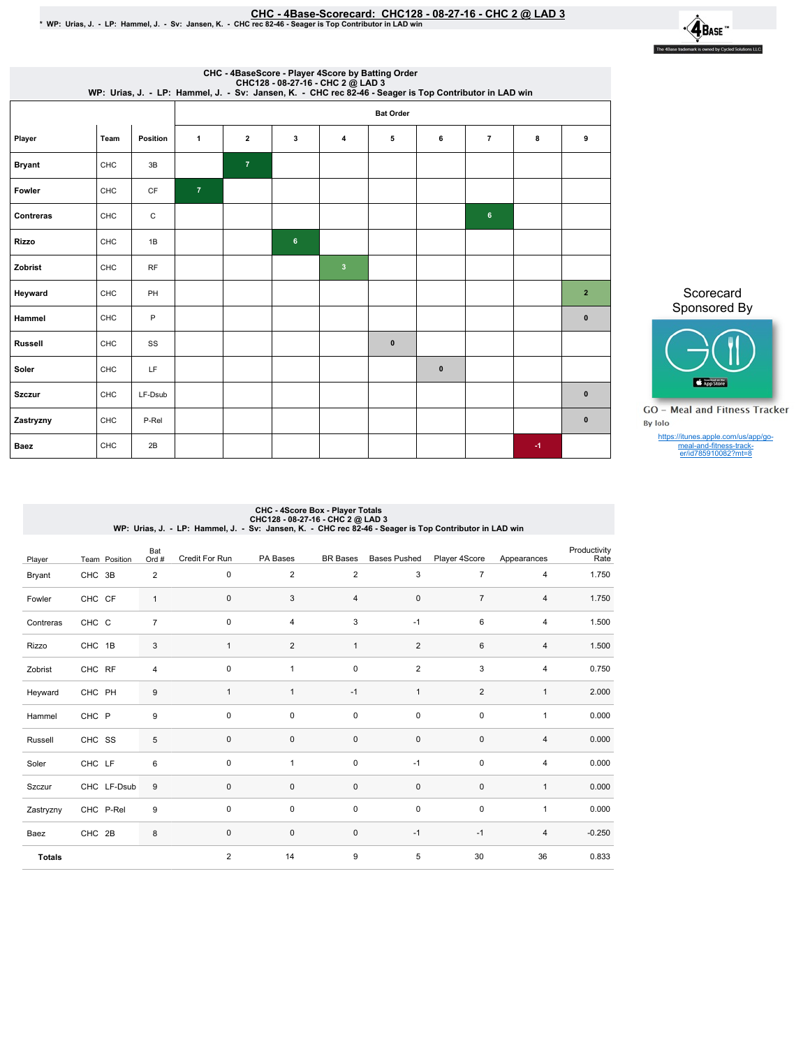# CHC-4Base-Scorecard:CHC128-08-27-16-CHC2@ LAD3 \*WP:Urias,J.-LP:Hammel,J.-Sv:Jansen,K.-CHCrec82-46-SeagerisTopContributorinLADwin

 $\cdot \mathbf{A}_{\text{Base}}$ The 4Base trademark is owned by Cycled Solutions LLC.

|                |      |             |                |                         |                | CHC - 4BaseScore - Player 4Score by Batting Order<br>CHC128 - 08-27-16 - CHC 2 @ LAD 3<br>WP: Urias, J. - LP: Hammel, J. - Sv: Jansen, K. - CHC rec 82-46 - Seager is Top Contributor in LAD win |              |              |                |      |                |  |  |  |  |
|----------------|------|-------------|----------------|-------------------------|----------------|--------------------------------------------------------------------------------------------------------------------------------------------------------------------------------------------------|--------------|--------------|----------------|------|----------------|--|--|--|--|
|                |      |             |                | <b>Bat Order</b>        |                |                                                                                                                                                                                                  |              |              |                |      |                |  |  |  |  |
| Player         | Team | Position    | $\mathbf{1}$   | $\overline{\mathbf{2}}$ | 3              | 4                                                                                                                                                                                                | 5            | 6            | $\overline{7}$ | 8    | 9              |  |  |  |  |
| <b>Bryant</b>  | CHC  | 3B          |                | $\overline{7}$          |                |                                                                                                                                                                                                  |              |              |                |      |                |  |  |  |  |
| Fowler         | CHC  | CF          | $\overline{7}$ |                         |                |                                                                                                                                                                                                  |              |              |                |      |                |  |  |  |  |
| Contreras      | CHC  | $\mathsf C$ |                |                         |                |                                                                                                                                                                                                  |              |              | 6 <sup>°</sup> |      |                |  |  |  |  |
| <b>Rizzo</b>   | CHC  | 1B          |                |                         | $6\phantom{a}$ |                                                                                                                                                                                                  |              |              |                |      |                |  |  |  |  |
| Zobrist        | CHC  | RF          |                |                         |                | 3                                                                                                                                                                                                |              |              |                |      |                |  |  |  |  |
| Heyward        | CHC  | PH          |                |                         |                |                                                                                                                                                                                                  |              |              |                |      | $\overline{2}$ |  |  |  |  |
| Hammel         | CHC  | P           |                |                         |                |                                                                                                                                                                                                  |              |              |                |      | $\mathbf{0}$   |  |  |  |  |
| <b>Russell</b> | CHC  | SS          |                |                         |                |                                                                                                                                                                                                  | $\mathbf{0}$ |              |                |      |                |  |  |  |  |
| Soler          | CHC  | LF          |                |                         |                |                                                                                                                                                                                                  |              | $\mathbf{0}$ |                |      |                |  |  |  |  |
| <b>Szczur</b>  | CHC  | LF-Dsub     |                |                         |                |                                                                                                                                                                                                  |              |              |                |      | $\mathbf{0}$   |  |  |  |  |
| Zastryzny      | CHC  | P-Rel       |                |                         |                |                                                                                                                                                                                                  |              |              |                |      | $\bf{0}$       |  |  |  |  |
| Baez           | CHC  | 2B          |                |                         |                |                                                                                                                                                                                                  |              |              |                | $-1$ |                |  |  |  |  |





**GO** - Meal and Fitness Tracker By Iolo



# CHC - 4Score Box - Player Totals<br>CHC28 - 08-27-16 - CHC 20 - 08-24 - 08-240<br>WP: Urias, J. - LP: Hammel, J. - Sv: Jansen, K. - CHC rec 82-46 - Seager is Top Contributor in LAD win

| Player        | Team Position | Bat<br>Ord #   | Credit For Run | PA Bases       | <b>BR</b> Bases | <b>Bases Pushed</b> | Player 4Score  | Appearances    | Productivity<br>Rate |
|---------------|---------------|----------------|----------------|----------------|-----------------|---------------------|----------------|----------------|----------------------|
| Bryant        | CHC 3B        | $\overline{2}$ | $\pmb{0}$      | $\overline{2}$ | $\overline{2}$  | 3                   | $\overline{7}$ | $\overline{4}$ | 1.750                |
| Fowler        | CHC CF        | $\mathbf{1}$   | $\mathbf 0$    | 3              | 4               | 0                   | $\overline{7}$ | 4              | 1.750                |
| Contreras     | CHC C         | $\overline{7}$ | $\pmb{0}$      | 4              | 3               | $-1$                | 6              | 4              | 1.500                |
| Rizzo         | CHC 1B        | 3              | $\mathbf{1}$   | $\overline{2}$ | $\mathbf{1}$    | $\overline{2}$      | 6              | 4              | 1.500                |
| Zobrist       | CHC RF        | 4              | $\mathbf 0$    | $\mathbf{1}$   | $\mathbf 0$     | $\overline{2}$      | 3              | $\overline{4}$ | 0.750                |
| Heyward       | CHC PH        | 9              | $\mathbf{1}$   | 1              | $-1$            | $\mathbf{1}$        | $\overline{2}$ | $\mathbf{1}$   | 2.000                |
| Hammel        | CHC P         | 9              | 0              | $\pmb{0}$      | $\pmb{0}$       | 0                   | $\pmb{0}$      | $\mathbf{1}$   | 0.000                |
| Russell       | CHC SS        | 5              | 0              | $\mathbf 0$    | $\pmb{0}$       | $\pmb{0}$           | $\mathbf 0$    | 4              | 0.000                |
| Soler         | CHC LF        | 6              | $\mathbf 0$    | $\mathbf{1}$   | $\pmb{0}$       | $-1$                | $\pmb{0}$      | 4              | 0.000                |
| Szczur        | CHC LF-Dsub   | 9              | $\mathbf 0$    | $\mathbf 0$    | $\mathbf 0$     | $\pmb{0}$           | $\mathbf 0$    | $\mathbf{1}$   | 0.000                |
| Zastryzny     | CHC P-Rel     | 9              | 0              | 0              | $\pmb{0}$       | $\pmb{0}$           | $\pmb{0}$      | $\mathbf{1}$   | 0.000                |
| Baez          | CHC 2B        | $\bf 8$        | $\mathbf 0$    | $\pmb{0}$      | $\pmb{0}$       | $-1$                | $-1$           | $\overline{4}$ | $-0.250$             |
| <b>Totals</b> |               |                | $\overline{2}$ | 14             | 9               | 5                   | 30             | 36             | 0.833                |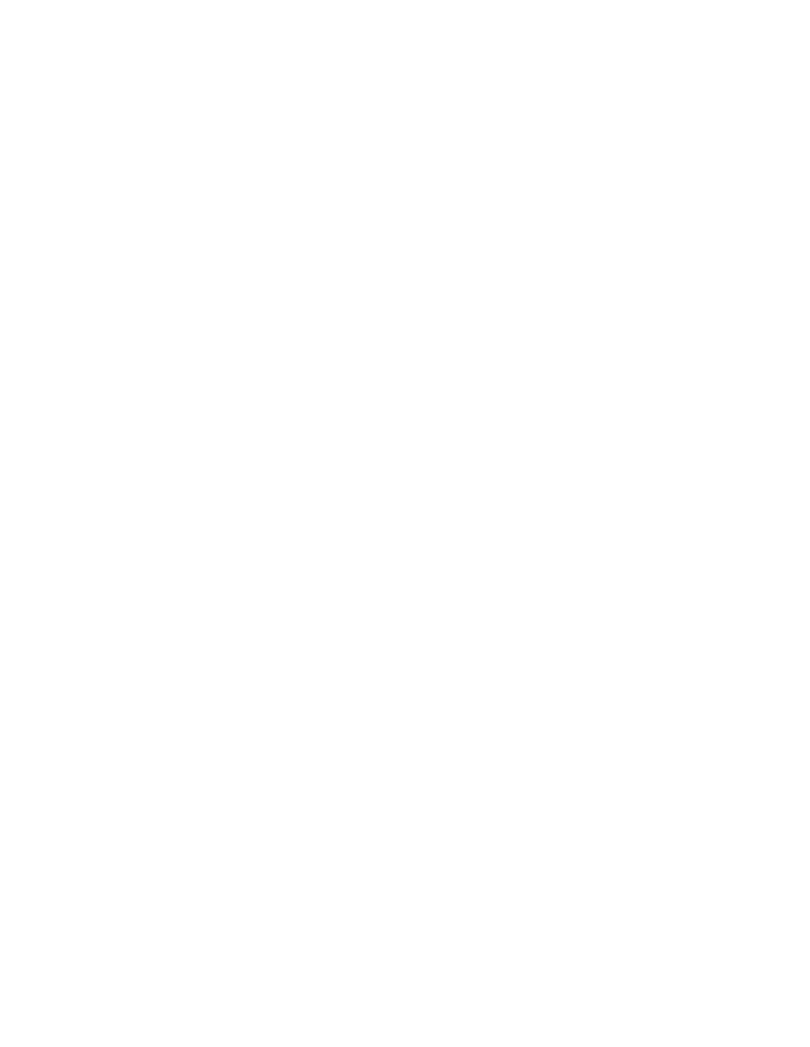|  |  | $: 3$ 8 UDV - $/3$ + DP PHO - $6Y$ - |  |
|--|--|--------------------------------------|--|

-DOW-1Q. 8+8. 9GDVH6FRUFDLG 8.+8. 8.+8. # /\$'

8.+8: %DWH6FRUH 300\HU 6FRUHE\%DWLQJ2UGHU<br>8.+8: 8.+8: #/\$'<br>HO- 6Y-DOWHQ. 8.+8:UHF 6HDJHULV7RS&RQMUEXMRULQ/\$'ZLQ :  $3 8 \text{UDV} - 73 + \text{DPPHO}$ %DW2 UGHU  $3\times$  HU  $7HDP$ 3 RVLMRQ %ULDQW  $8 + 8$  $\%$ ) RZ  $\Theta$ U  $\mathbf{8} + \mathbf{8}$  $\&$  ) & ROWHLDV  $8 + 8$  $\pmb{8}$  $5 \text{ H}$ R  $8 + 8$  $\%$  $=$ REULWV  $\mathbf{8}\!+\!\mathbf{8}$  $5)$  $+HZDIG$  $8 + 8$  $3+$  $+DPPHO$  $8 + 8$  $\mathbf{3}$ 5 XVVHOO  $\mathbf{8} + \mathbf{8}$ 66 6ROHU  $\mathsf{g}+\mathsf{g}$  $\sqrt{ }$ 6] FJ XU  $8 + 8$  $1)$  ' WE  $=$  DVMI ] Q  $8 + 8$ 3 5 HO %DH]  $8 + 8$  $\%$ 



<u>KWOSV LWACH-VDSSOBIFRP XVDSSJR</u><br>PHDCDQGILWOH-WWOFN<br>HULG "PW

|                                                     |               |                                   | : 3 8 UDV - / 3 + DP P HO- | & + & 6 FRUH% R[ 300\HU7RW20V<br>$8 + 8$<br>6Y - DOM-IQ .    8+ & UHF | $8+8$ # / \$' | 6 HDJ HULV 7 RS & ROMMEXWRULQ / \$' ZLQ |              |                    |
|-----------------------------------------------------|---------------|-----------------------------------|----------------------------|-----------------------------------------------------------------------|---------------|-----------------------------------------|--------------|--------------------|
| 30 NU                                               | 7HDP 3RVMLIRQ | %DW<br>$2 \text{ }\cup\text{ } 5$ | & UHGLV) RU5 XQ            | 3\$ %DMHV                                                             | %5 %DVHV      | %DVHV3XVKHG 300\HU6FRUH                 | \$SSHDUDGFHV | 3 URGXFWYUW<br>5DM |
| <b>YAJI DOW</b>                                     | $8 + 8$ %     |                                   |                            |                                                                       |               |                                         |              |                    |
| ) RZ OHU                                            | $8+8$ $8)$    |                                   |                            |                                                                       |               |                                         |              |                    |
| & ROWHUDV                                           | $8 + 8$ $8$   |                                   |                            |                                                                       |               |                                         |              |                    |
| $5$ <sup><math>\uparrow</math></sup> $\uparrow$ $R$ | $8 + 8$ %     |                                   |                            |                                                                       |               |                                         |              |                    |
| $=$ REUMV                                           | $8+8$ 5)      |                                   |                            |                                                                       |               |                                         |              |                    |
| $+HZDUS$                                            | $&+8$ 3+      |                                   |                            |                                                                       |               |                                         |              |                    |
| $+DPPHO$                                            | $8 + 8$ 3     |                                   |                            |                                                                       |               |                                         |              |                    |
| 5 XVVHO                                             | $&+8.66$      |                                   |                            |                                                                       |               |                                         |              |                    |
| 6 ROHU                                              | $8+8$ ()      |                                   |                            |                                                                       |               |                                         |              |                    |
| 6] FJ XU                                            | &+& /) ' VXE  |                                   |                            |                                                                       |               |                                         |              |                    |
| $=$ DVNN $\alpha$                                   | $&+8$ 35HO    |                                   |                            |                                                                       |               |                                         |              |                    |
| %DH                                                 | $& 8 + 8$ %   |                                   |                            |                                                                       |               |                                         |              |                    |
| 7RWDOV                                              |               |                                   |                            |                                                                       |               |                                         |              |                    |
|                                                     |               |                                   |                            |                                                                       |               |                                         |              |                    |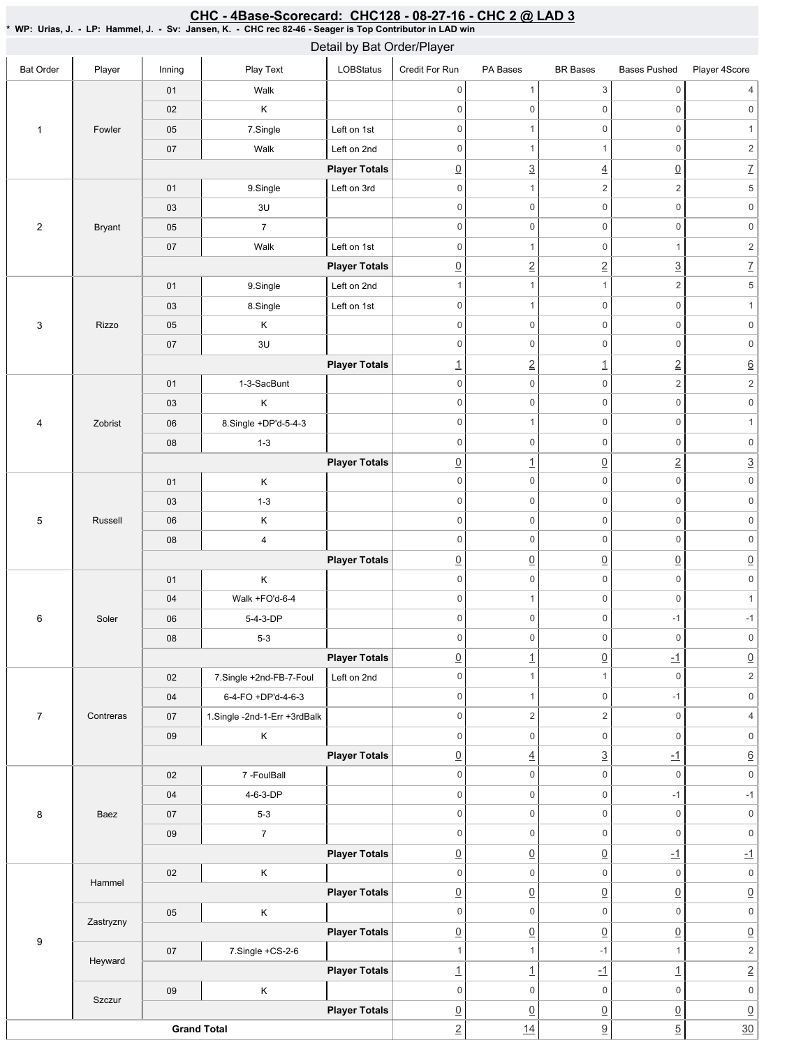#### Bat Order | Player | Inning | PlayText | LOBStatus Credit For Run PA Bases BR Bases Bases Pushed Player 4Score 1 **Fowler** 01 | Walk 02 K 05 | 7.Single | Left on 1st 07 | Walk Left on 2nd **Player Totals** 2 Bryant 01 9.Single Left on 3rd 03 3U 05 7 07 | Walk Left on 1st **Player Totals** 3 Rizzo 01 9.Single Left on 2nd 03 8.Single Left on 1st 05 K 07 3U **Player Totals** 4 Zobrist 01 1-3-SacBunt 03 K 06 8.Single +DP'd-5-4-3 08 1-3 **Player Totals** 5 Russell 01 K 03 1-3 06 K 08 4 **Player Totals** 6 Soler 01 K 04 | Walk + FO'd-6-4 06 5-4-3-DP 08 5-3 **Player Totals** 7 Contreras 02 7.Single +2nd-FB-7-Foul Left on 2nd 04 6-4-FO +DP'd-4-6-3 07 | 1.Single -2nd-1-Err +3rdBalk 09 K **Player Totals** 8 Baez 02 | 7-FoulBall 04 **4-6-3-DP** 07 5-3 09 7 **Player Totals** 9 Hammel 02 K **Player Totals** Zastryzny 05 K **Player Totals** Heyward 07 7.Single +CS-2-6 **Player Totals Szczur** 09 K **Player Totals Grand Total** 0 1 3 0 4 0 0 0 0 0 0 0 0 1 0 1 0 1 1 0 2 0 3 4 0 7 0 1 2 2 5 0 0 0 0 0 0 0 0 0 0 0 0 0 1 0 1 2  $\boxed{0}$  2  $\boxed{2}$   $\boxed{3}$   $\boxed{7}$ 1 1 1 2 5 0 0 1 0 1 0 0 0 0 0 0 0 0 0 0 0 0 1 2 1 2 6  $0 \qquad \qquad 0 \qquad \qquad 2 \qquad \qquad 2$ 0 0 0 0 0 0 0 0 0 1 0 0 0 0 0 0 0 1 0 2 3 0 0 0 0 0 0 0 0 0 0 0 0 0 0 0 0 0 0 0 0 0 0 0 0  $\overline{0}$   $\overline{0}$   $\overline{0}$   $\overline{0}$   $\overline{0}$   $\overline{0}$   $\overline{0}$ 0 0 0 0 0 0 0 0 1 0 1 0 0 -1 -1 0 0 0 0 0 0 0 1 0 -1 0 0 1 1 0 2 0 1 0 -1 0  $0 \qquad \qquad 2 \qquad \qquad 2 \qquad \qquad 0 \qquad \qquad 4$ 0 0 0 0 0 0 0 4 3 -1 6 0 0 0 0 0 0 0 0 -1 -1 0 0 0 0 0 0 0 0 0 0 0 0 0 0 0 -1 -1 0 0 0 0 0 0 0 0 0 0 0 0 0 0 0 0 0 0 0 0 0 0 1  $1$   $-1$   $1$   $2$ 1  $1$   $-1$   $1$   $1$   $2$ 0 0 0 0 0 0 0 0 0 0 0  $2$  14 9 5 30 Detail by Bat Order/Player

<u>CHC - 4Base-Scorecard: CHC128 - 08-27-16 - CHC 2 @ LAD 3</u>

\*WP:Urias,J.-LP:Hammel,J.-Sv:Jansen,K.-CHCrec82-46-SeagerisTopContributorinLADwin